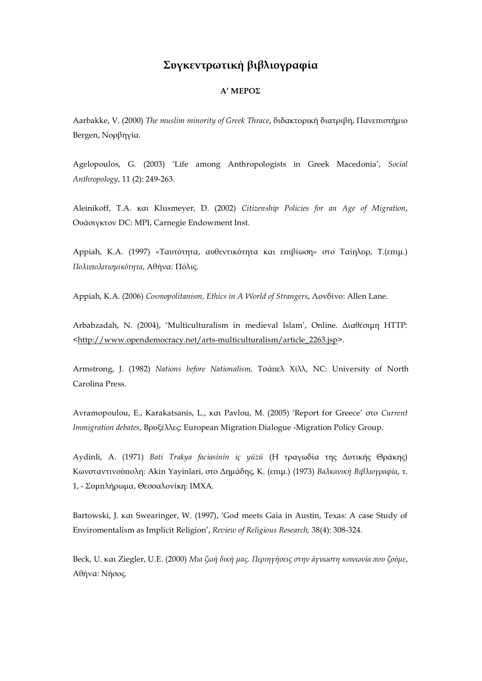## **Συγκεντρωτική βιβλιογραφία**

## **Α' ΜΕΡΟΣ**

Aarbakke, V. (2000) *The muslim minority of Greek Thrace*, διδακτορική διατριβή, Πανεπιστήµιο Bergen, Nορβηγία.

Agelopoulos, G. (2003) 'Life among Anthropologists in Greek Macedonia', *Social Anthropology*, 11 (2): 249-263.

Aleinikoff, T.A. και Klusmeyer, D. (2002) *Citizenship Policies for an Age of Migration*, Ουάσιγκτον DC: MPI, Carnegie Endowment Inst.

Appiah, Κ.Α. (1997) «Ταυτότητα, αυθεντικότητα και επιβίωση» στο Ταίηλορ, Τ.(επιµ.) *Πολυπολιτισµικότητα*, Αθήνα: Πόλις.

Appiah, Κ.Α. (2006) *Cosmopolitanism, Ethics in A World of Strangers*, Λονδίνο: Allen Lane.

Arbabzadah, N. (2004), 'Multiculturalism in medieval Islam', Online. Διαθέσιµη HTTP: <http://www.opendemocracy.net/arts-multiculturalism/article\_2263.jsp>.

Armstrong, J. (1982) *Nations before Nationalism,* Τσάπελ Χίλλ, NC: University of North Carolina Press.

Avramopoulou, E., Karakatsanis, L., και Pavlou, M. (2005) 'Report for Greece' στο *Current Immigration debates*, Βρυξέλλες: European Migration Dialogue -Migration Policy Group.

Aydinli, A. (1971) *Bati Trakya faciasίnίn iç yüzü* (H τραγωδία της Δυτικής Θράκης) Κωνσταντινούπολη: Akin Yayinlari, στο Δηµάδης, K. (επιµ.) (1973) *Bαλκανική Bιβλιογραφία*, τ. 1, - Συµπλήρωµα, Θεσσαλονίκη: IMXA.

Bartowski, J. και Swearinger, W. (1997), 'God meets Gaia in Austin, Texas: A case Study of Enviromentalism as Implicit Religion', *Review of Religious Research,* 38(4): 308-324.

Beck, U. και Ziegler, U.E. (2000) *Μια ζωή δική µας. Περιηγήσεις στην άγνωστη κοινωνία που ζούµε*, Αθήνα: Νήσος.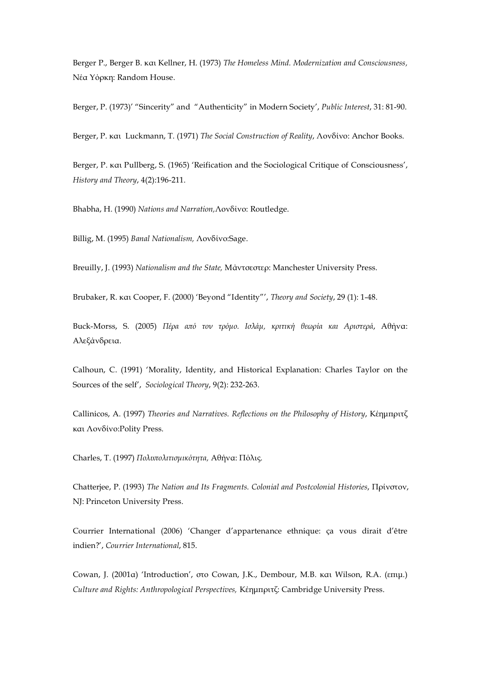Berger P., Berger B. και Kellner, H. (1973) *The Homeless Mind. Modernization and Consciousness,* Νέα Υόρκη: Random House.

Berger, P. (1973)' "Sincerity" and "Authenticity" in Modern Society', *Public Interest*, 31: 81-90.

Berger, P. και Luckmann, T. (1971) *The Social Construction of Reality*, Λονδίνο: Anchor Books.

Berger, P. και Pullberg, S. (1965) 'Reification and the Sociological Critique of Consciousness', *History and Theory*, 4(2):196-211.

Bhabha, H. (1990) *Nations and Narration,*Λονδίνο: Routledge.

Billig, M. (1995) *Banal Nationalism,* Λονδίνο:Sage.

Breuilly, J. (1993) *Nationalism and the State,* Μάντσεστερ: Manchester University Press.

Brubaker, R. και Cooper, F. (2000) 'Beyond "Identity"', *Theory and Society*, 29 (1): 1-48.

Buck-Morss, S. (2005) *Πέρα από τον τρόµο. Ισλάµ, κριτική θεωρία και Αριστερά*, Αθήνα: Αλεξάνδρεια.

Calhoun, C. (1991) 'Morality, Identity, and Historical Explanation: Charles Taylor on the Sources of the self', *Sociological Theory*, 9(2): 232-263.

Callinicos, A. (1997) *Theories and Narratives. Reflections on the Philosophy of History*, Κέηµπριτζ και Λονδίνο:Polity Press.

Charles, T. (1997) *Πολυπολιτισµικότητα,* Αθήνα: Πόλις.

Chatterjee, P. (1993) *The Nation and Its Fragments. Colonial and Postcolonial Histories*, Πρίνστον, NJ: Princeton University Press.

Courrier International (2006) 'Changer d'appartenance ethnique: ça vous dirait d'être indien?', *Courrier International*, 815.

Cowan, J. (2001α) 'Introduction', στο Cowan, J.Κ., Dembour, M.Β. και Wilson, R.A. (επιµ.) *Culture and Rights: Anthropological Perspectives,* Κέηµπριτζ: Cambridge University Press.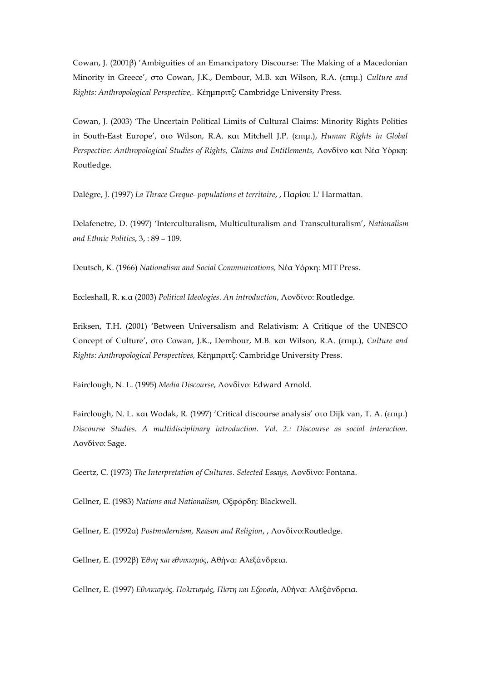Cowan, J. (2001β) 'Ambiguities of an Emancipatory Discourse: The Making of a Macedonian Minority in Greece', στο Cowan, J.K., Dembour, M.Β. και Wilson, R.A. (επιµ.) *Culture and Rights: Anthropological Perspective,.* Κέηµπριτζ: Cambridge University Press.

Cowan, J. (2003) 'The Uncertain Political Limits of Cultural Claims: Minority Rights Politics in South-East Europe', στο Wilson, R.A. και Mitchell J.P. (επιµ.), *Human Rights in Global Perspective: Anthropological Studies of Rights, Claims and Entitlements,* Λονδίνο και Νέα Υόρκη: Routledge.

Dalégre, J. (1997) *La Thrace Greque- populations et territoire*, , Παρίσι: L' Harmattan.

Delafenetre, D. (1997) 'Ιnterculturalism, Multiculturalism and Transculturalism', *Nationalism and Ethnic Politics*, 3, : 89 – 109.

Deutsch, K. (1966) *Nationalism and Social Communications,* Νέα Υόρκη: MIT Press.

Eccleshall, R. κ.α (2003) *Political Ideologies. An introduction*, Λονδίνο: Routledge.

Eriksen, T.H. (2001) 'Between Universalism and Relativism: A Critique of the UNESCO Concept of Culture', στο Cowan, J.K., Dembour, M.B. και Wilson, R.A. (επιµ.), *Culture and Rights: Anthropological Perspectives,* Κέηµπριτζ: Cambridge University Press.

Fairclough, N. L. (1995) *Media Discourse*, Λονδίνο: Edward Arnold.

Fairclough, N. L. και Wodak, R. (1997) 'Critical discourse analysis' στο Dijk van, T. A. (επιµ.) *Discourse Studies. A multidisciplinary introduction. Vol. 2.: Discourse as social interaction*. Λονδίνο: Sage.

Geertz, C. (1973) *The Interpretation of Cultures. Selected Essays,* Λονδίνο: Fontana.

Gellner, E. (1983) *Nations and Nationalism,* Οξφόρδη: Blackwell.

Gellner, E. (1992α) *Postmodernism, Reason and Religion*, , Λονδίνο:Routledge.

Gellner, E. (1992β) *Έθνη και εθνικισµός*, Αθήνα: Αλεξάνδρεια.

Gellner, E. (1997) *Eθνικισµός. Πολιτισµός, Πίστη και Εξουσία*, Αθήνα: Αλεξάνδρεια.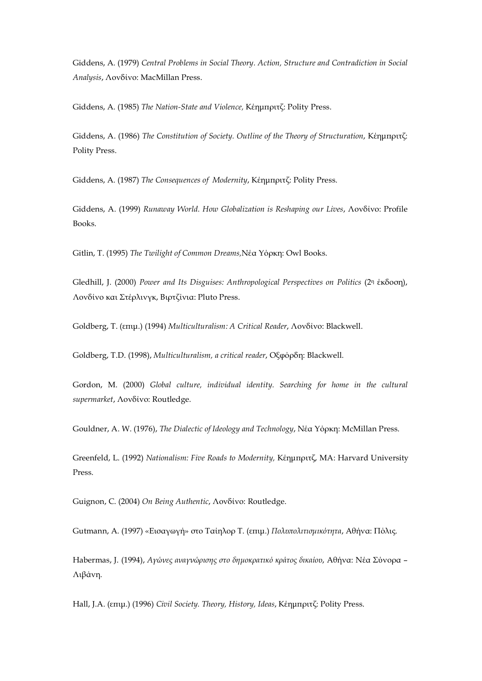Giddens, A. (1979) *Central Problems in Social Theory. Action, Structure and Contradiction in Social Analysis*, Λονδίνο: MacMillan Press.

Giddens, A. (1985) *The Nation-State and Violence,* Κέηµπριτζ: Polity Press.

Giddens, A. (1986) *The Constitution of Society. Outline of the Theory of Structuration*, Κέηµπριτζ: Polity Press.

Giddens, A. (1987) *The Consequences of Modernity*, Κέηµπριτζ: Polity Press.

Giddens, A. (1999) *Runaway World. How Globalization is Reshaping our Lives*, Λονδίνο: Profile Books.

Gitlin, T. (1995) *The Twilight of Common Dreams,*Νέα Υόρκη: Owl Books.

Gledhill, J. (2000) *Power and Its Disguises: Anthropological Perspectives on Politics* (2<sup>η</sup> έκδοση), Λονδίνο και Στέρλινγκ, Βιρτζίνια: Pluto Press.

Goldberg, T. (επιµ.) (1994) *Multiculturalism: A Critical Reader*, Λονδίνο: Blackwell.

Goldberg, T.D. (1998), *Multiculturalism, a critical reader*, Οξφόρδη: Blackwell.

Gordon, M. (2000) *Global culture, individual identity. Searching for home in the cultural supermarket*, Λονδίνο: Routledge.

Gouldner, A. W. (1976), *The Dialectic of Ideology and Technology*, Νέα Υόρκη: McMillan Press.

Greenfeld, L. (1992) *Nationalism: Five Roads to Modernity,* Κέηµπριτζ, MA: Harvard University Press.

Guignon, C. (2004) *On Being Authentic*, Λονδίνο: Routledge.

Gutmann, A. (1997) «Εισαγωγή» στο Ταίηλορ Τ. (επιµ.) *Πολυπολιτισµικότητα*, Αθήνα: Πόλις.

Habermas, J. (1994), *Αγώνες αναγνώρισης στο δηµοκρατικό κράτος δικαίου*, Αθήνα: Νέα Σύνορα – Λιβάνη.

Hall, J.A. (επιµ.) (1996) *Civil Society. Theory, History, Ideas*, Κέηµπριτζ: Polity Press.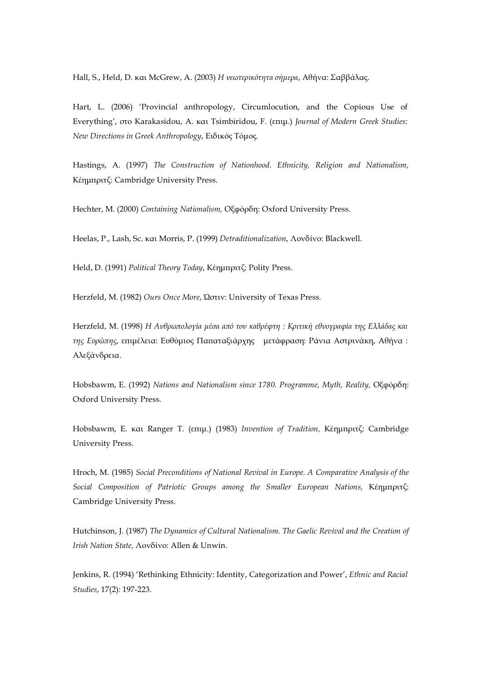Hall, S., Held, D. και McGrew, A. (2003) *Η νεωτερικότητα σήµερα*, Αθήνα: Σαββάλας.

Hart, L. (2006) 'Provincial anthropology, Circumlocution, and the Copious Use of Everything', στο Karakasidou, Α. και Tsimbiridou, F. (επιµ.) *Journal of Modern Greek Studies: New Directions in Greek Anthropology*, Ειδικός Τόµος.

Hastings, A. (1997) *The Construction of Nationhood. Ethnicity, Religion and Nationalism,* Κέηµπριτζ: Cambridge University Press.

Hechter, M. (2000) *Containing Nationalism,* Οξφόρδη: Oxford University Press.

Heelas, P., Lash, Sc. και Morris, P. (1999) *Detraditionalization*, Λονδίνο: Blackwell.

Held, D. (1991) *Political Theory Today*, Κέηµπριτζ: Polity Press.

Herzfeld, Μ. (1982) *Ours Once More*, Ώστιν: University of Texas Press.

Herzfeld, Μ. (1998) *Η Ανθρωπολογία µέσα από τον καθρέφτη : Κριτική εθνογραφία της Ελλάδας και της Ευρώπης*, επιµέλεια: Ευθύµιος Παπαταξιάρχης µετάφραση: Ράνια Αστρινάκη, Αθήνα : Αλεξάνδρεια.

Hobsbawm, E. (1992) *Nations and Nationalism since 1780. Programme, Myth, Reality,* Οξφόρδη: Oxford University Press.

Hobsbawm, E. και Ranger T. (επιµ.) (1983) *Invention of Tradition,* Κέηµπριτζ: Cambridge University Press.

Hroch, M. (1985) *Social Preconditions of National Revival in Europe. A Comparative Analysis of the Social Composition of Patriotic Groups among the Smaller European Nations,* Κέηµπριτζ: Cambridge University Press.

Hutchinson, J. (1987) *The Dynamics of Cultural Nationalism. The Gaelic Revival and the Creation of Irish Nation State,* Λονδίνο: Allen & Unwin.

Jenkins, R. (1994) 'Rethinking Ethnicity: Identity, Categorization and Power', *Ethnic and Racial Studies*, 17(2): 197-223.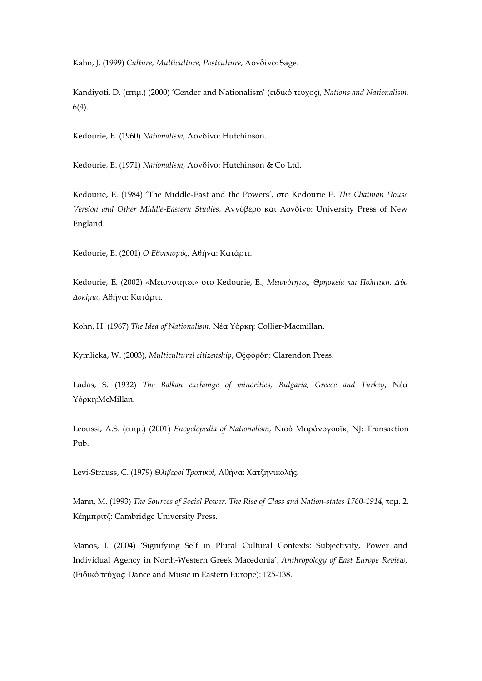Kahn, J. (1999) *Culture, Multiculture, Postculture,* Λονδίνο: Sage.

Kandiyoti, D. (επιµ.) (2000) 'Gender and Nationalism' (ειδικό τεύχος), *Nations and Nationalism,* 6(4).

Kedourie, E. (1960) *Nationalism,* Λονδίνο: Hutchinson.

Kedourie, E. (1971) *Nationalism*, Λονδίνο: Hutchinson & Co Ltd.

Kedourie, E. (1984) 'The Middle-East and the Powers', στο Kedourie E. *The Chatman House Version and Other Middle-Eastern Studies*, Αννόβερο και Λονδίνο: University Press of New England.

Kedourie, E. (2001) *Ο Εθνικισµός*, Αθήνα: Κατάρτι.

Kedourie, E. (2002) «Μειονότητες» στο Kedοurie, E., *Μειονότητες, Θρησκεία και Πολιτική. Δύο Δοκίµια*, Αθήνα: Κατάρτι.

Kohn, H. (1967) *The Idea of Nationalism,* Νέα Υόρκη: Collier-Macmillan.

Kymlicka, W. (2003), *Multicultural citizenship*, Οξφόρδη: Clarendon Press.

Ladas, S. (1932) *The Balkan exchange of minorities, Bulgaria, Greece and Turkey*, Νέα Υόρκη:McMillan.

Leoussi, A.S. (επιµ.) (2001) *Encyclopedia of Nationalism,* Νιού Μπράνσγουϊκ, NJ: Transaction Pub.

Levi-Strauss, C. (1979) *Θλιβεροί Τροπικοί*, Αθήνα: Χατζηνικολής.

Mann, M. (1993) *The Sources of Social Power. The Rise of Class and Nation-states 1760-1914,* τοµ. 2, Κέηµπριτζ: Cambridge University Press.

Manos, I. (2004) 'Signifying Self in Plural Cultural Contexts: Subjectivity, Power and Individual Agency in North-Western Greek Macedonia', *Anthropology of East Europe Review,* (Ειδικό τεύχος: Dance and Music in Eastern Europe): 125-138.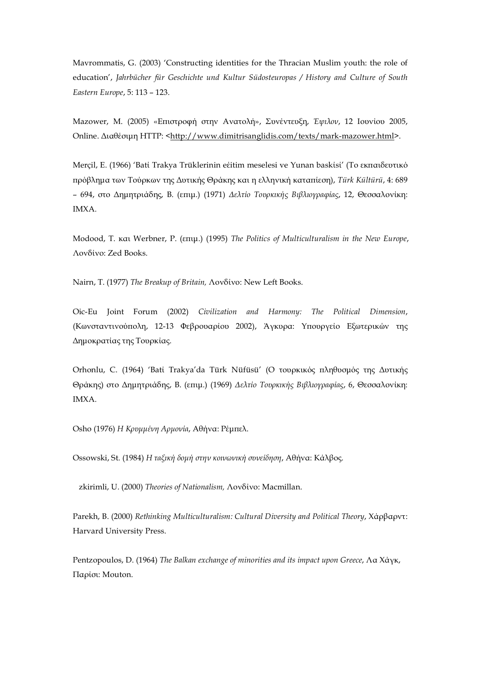Mavrommatis, G. (2003) 'Constructing identities for the Thracian Muslim youth: the role of education', *Jahrbücher für Geschichte und Kultur Südosteuropas / History and Culture of South Eastern Europe*, 5: 113 – 123.

Mazower, M. (2005) «Επιστροφή στην Ανατολή», Συνέντευξη, *Έψιλον*, 12 Ιουνίου 2005, Online. Διαθέσιµη HTTP: <http://www.dimitrisanglidis.com/texts/mark-mazower.html>.

Merçil, E. (1966) 'Batί Trakya Trüklerinin eέitim meselesi ve Yunan baskίsί' (Tο εκπαιδευτικό πρόβληµα των Tούρκων της Δυτικής Θράκης και η ελληνική καταπίεση), *Türk Kültürü*, 4: 689 – 694, στο Δηµητριάδης, B. (επιµ.) (1971) *Δελτίο Tουρκικής Bιβλιογραφίας*, 12, Θεσσαλονίκη: ΙΜΧΑ.

Modood, T. και Werbner, P. (επιµ.) (1995) *The Politics of Multiculturalism in the New Europe*, Λονδίνο: Zed Books.

Nairn, T. (1977) *The Breakup of Britain,* Λονδίνο: New Left Books.

Oic-Eu Joint Forum (2002) *Civilization and Harmony: The Political Dimension*, (Κωνσταντινούπολη, 12-13 Φεβρουαρίου 2002), Άγκυρα: Υπουργείο Εξωτερικών της Δηµοκρατίας της Τουρκίας.

Orhonlu, C. (1964) 'Batί Trakya'da Türk Nüfüsü' (O τουρκικός πληθυσµός της Δυτικής Θράκης) στο Δηµητριάδης, B. (επιµ.) (1969) *Δελτίο Tουρκικής Bιβλιογραφίας*, 6, Θεσσαλονίκη: IMXA.

Osho (1976) *Η Κρυµµένη Αρµονία*, Αθήνα: Ρέµπελ.

Ossowski, St. (1984) *Η ταξική δοµή στην κοινωνική συνείδηση*, Αθήνα: Κάλβος.

zkirimli, U. (2000) *Theories of Nationalism,* Λονδίνο: Macmillan.

Parekh, B. (2000) *Rethinking Multiculturalism: Cultural Diversity and Political Theory*, Χάρβαρντ: Harvard University Press.

Pentzopoulos, D. (1964) *The Balkan exchange of minorities and its impact upon Greece*, Λα Χάγκ, Παρίσι: Mouton.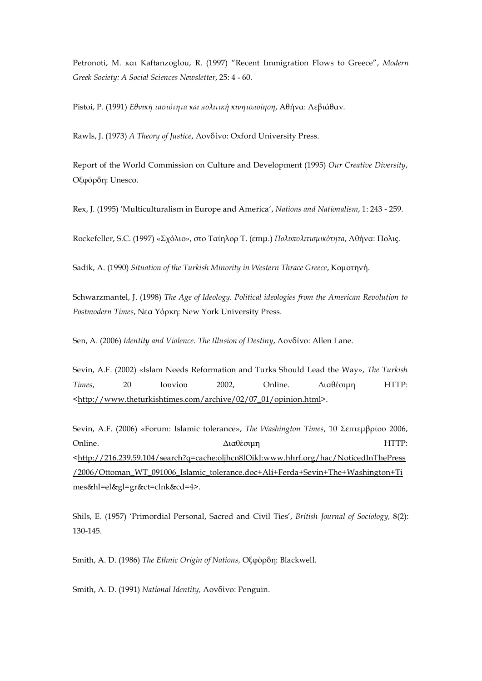Petronoti, Μ. και Kaftanzoglou, R. (1997) "Recent Immigration Flows to Greece", *Modern Greek Society: A Social Sciences Newsletter*, 25: 4 - 60.

Pistoi, P. (1991) *Εθνική ταυτότητα και πολιτική κινητοποίηση*, Αθήνα: Λεβιάθαν.

Rawls, J. (1973) *A Theory of Justice*, Λονδίνο: Oxford University Press.

Report of the World Commission on Culture and Development (1995) *Our Creative Diversity*, Οξφόρδη: Unesco.

Rex, J. (1995) 'Multiculturalism in Europe and America', *Nations and Nationalism*, 1: 243 - 259.

Rockefeller, S.C. (1997) «Σχόλιο», στο Ταίηλορ Τ. (επιµ.) *Πολυπολιτισµικότητα*, Αθήνα: Πόλις.

Sadik, A. (1990) *Situation of the Turkish Minority in Western Thrace Greece*, Κοµοτηνή.

Schwarzmantel, J. (1998) *The Age of Ideology. Political ideologies from the American Revolution to Postmodern Times*, Νέα Υόρκη: New York University Press.

Sen, A. (2006) *Identity and Violence. The Illusion of Destiny*, Λονδίνο: Allen Lane.

Sevin, A.F. (2002) «Islam Needs Reformation and Turks Should Lead the Way», *The Turkish Times*, 20 Ιουνίου 2002, Online. Διαθέσιµη HTTP: <http://www.theturkishtimes.com/archive/02/07\_01/opinion.html>.

Sevin, A.F. (2006) «Forum: Islamic tolerance», *The Washington Times*, 10 Σεπτεµβρίου 2006, Online. Διαθέσιμη Διαθέσιμη ΗΤΤΡ: <http://216.239.59.104/search?q=cache:oljhcn8lOikJ:www.hhrf.org/hac/NoticedInThePress /2006/Ottoman\_WT\_091006\_Islamic\_tolerance.doc+Ali+Ferda+Sevin+The+Washington+Ti mes&hl=el&gl=gr&ct=clnk&cd=4>.

Shils, E. (1957) 'Primordial Personal, Sacred and Civil Ties', *British Journal of Sociology,* 8(2): 130-145.

Smith, A. D. (1986) *The Ethnic Origin of Nations,* Οξφόρδη: Blackwell.

Smith, A. D. (1991) *National Identity,* Λονδίνο: Penguin.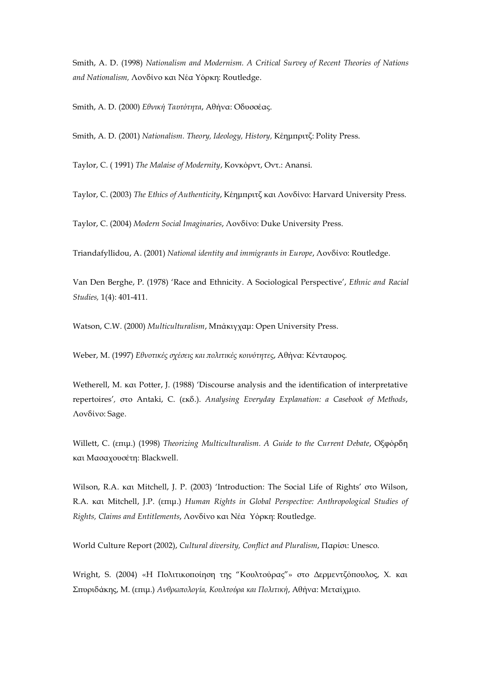Smith, A. D. (1998) *Nationalism and Modernism. A Critical Survey of Recent Theories of Nations and Nationalism,* Λονδίνο και Νέα Υόρκη: Routledge.

Smith, A. D. (2000) *Εθνική Ταυτότητα*, Αθήνα: Οδυσσέας.

Smith, A. D. (2001) *Nationalism. Theory, Ideology, History,* Κέηµπριτζ: Polity Press.

Taylor, C. ( 1991) *The Malaise of Modernity*, Κονκόρντ, Οντ.: Anansi.

Taylor, C. (2003) *The Ethics of Authenticity*, Κέηµπριτζ και Λονδίνο: Harvard University Press.

Taylor, C. (2004) *Modern Social Imaginaries*, Λονδίνο: Duke University Press.

Triandafyllidou, A. (2001) *National identity and immigrants in Europe*, Λονδίνο: Routledge.

Van Den Berghe, P. (1978) 'Race and Ethnicity. A Sociological Perspective', *Ethnic and Racial Studies,* 1(4): 401-411.

Watson, C.W. (2000) *Multiculturalism*, Μπάκιγχαµ: Open University Press.

Weber, M. (1997) *Εθνοτικές σχέσεις και πολιτικές κοινότητες*, Αθήνα: Κένταυρος.

Wetherell, M. και Potter, J. (1988) 'Discourse analysis and the identification of interpretative repertoires'*,* στο Antaki, C. (εκδ.). *Analysing Everyday Explanation: a Casebook of Methods*, Λονδίνο: Sage.

Willett, C. (επιµ.) (1998) *Theorizing Multiculturalism. A Guide to the Current Debate*, Οξφόρδη και Μασαχουσέτη: Blackwell.

Wilson, R.A. και Mitchell, J. P. (2003) 'Introduction: The Social Life of Rights' στο Wilson, R.A. και Mitchell, J.P. (επιµ.) *Human Rights in Global Perspective: Anthropological Studies of Rights, Claims and Entitlements*, Λονδίνο και Νέα Υόρκη: Routledge.

World Culture Report (2002), *Cultural diversity, Conflict and Pluralism*, Παρίσι: Unesco.

Wright, S. (2004) «Η Πολιτικοποίηση της "Κουλτούρας"» στο Δερµεντζόπουλος, Χ. και Σπυριδάκης, Μ. (επιµ.) *Ανθρωπολογία, Κουλτούρα και Πολιτική*, Αθήνα: Μεταίχµιο.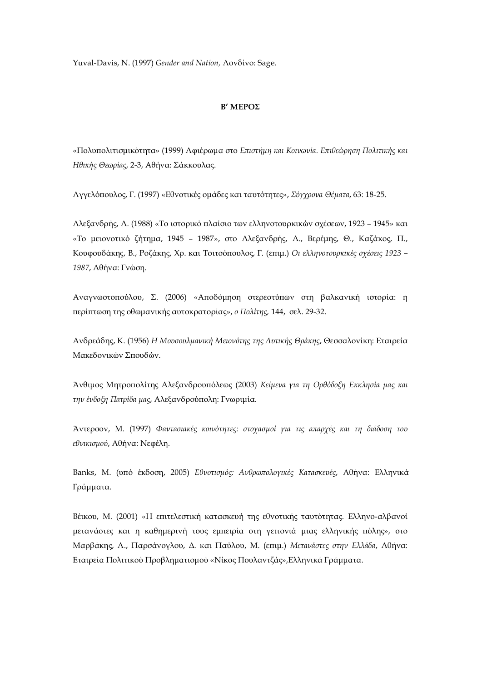Yuval-Davis, N. (1997) *Gender and Nation,* Λονδίνο: Sage.

## **Β' ΜΕΡΟΣ**

«Πολυπολιτισµικότητα» (1999) Αφιέρωµα στο *Επιστήµη και Κοινωνία. Επιθεώρηση Πολιτικής και Ηθικής Θεωρίας*, 2-3, Αθήνα: Σάκκουλας.

Αγγελόπουλος, Γ. (1997) «Eθνοτικές οµάδες και ταυτότητες», *Σύγχρονα Θέµατα*, 63: 18-25.

Αλεξανδρής, A. (1988) «Tο ιστορικό πλαίσιο των ελληνοτουρκικών σχέσεων, 1923 – 1945» και «Tο µειονοτικό ζήτηµα, 1945 – 1987», στο Aλεξανδρής, A., Bερέµης, Θ., Kαζάκος, Π., Kουφουδάκης, B., Pοζάκης, Xρ. και Tσιτσόπουλος, Γ. (επιµ.) *Oι ελληνοτουρκικές σχέσεις 1923 – 1987*, Aθήνα: Γνώση.

Αναγνωστοπούλου, Σ. (2006) «Αποδόμηση στερεοτύπων στη βαλκανική ιστορία: η περίπτωση της οθωµανικής αυτοκρατορίας», *ο Πολίτης,* 144, σελ. 29-32.

Ανδρεάδης, K. (1956) *H Mουσουλµανική Mειονότης της Δυτικής Θράκης*, Θεσσαλονίκη: Eταιρεία Mακεδονικών Σπουδών.

Άνθιµος Μητροπολίτης Αλεξανδρουπόλεως (2003) *Κείµενα για τη Ορθόδοξη Εκκλησία µας και την ένδοξη Πατρίδα µας*, Αλεξανδρούπολη: Γνωριµία.

Άντερσον, Μ. (1997) *Φαντασιακές κοινότητες: στοχασµοί για τις απαρχές και τη διάδοση του εθνικισµού*, Αθήνα: Νεφέλη.

Βanks, M. (υπό έκδοση, 2005) *Εθνοτισµός: Ανθρωπολογικές Κατασκευές*, Αθήνα: Ελληνικά Γράµµατα.

Βέικου, Μ. (2001) «Η επιτελεστική κατασκευή της εθνοτικής ταυτότητας. Ελληνο-αλβανοί µετανάστες και η καθηµερινή τους εµπειρία στη γειτονιά µιας ελληνικής πόλης», στο Μαρβάκης, Α., Παρσάνογλου, Δ. και Παύλου, Μ. (επιµ.) *Μετανάστες στην Ελλάδα*, Αθήνα: Εταιρεία Πολιτικού Προβληµατισµού «Νίκος Πουλαντζάς»,Ελληνικά Γράµµατα.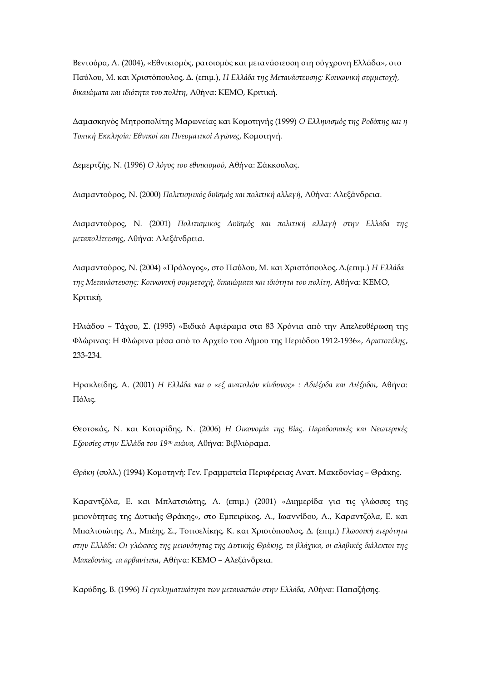Βεντούρα, Λ. (2004), «Εθνικισµός, ρατσισµός και µετανάστευση στη σύγχρονη Ελλάδα», στο Παύλου, Μ. και Χριστόπουλος, Δ. (επιµ.), *Η Ελλάδα της Μετανάστευσης: Κοινωνική συµµετοχή, δικαιώµατα και ιδιότητα του πολίτη*, Αθήνα: ΚΕΜΟ, Κριτική.

Δαµασκηνός Μητροπολίτης Μαρωνείας και Κοµοτηνής (1999) *Ο Ελληνισµός της Ροδόπης και η Τοπική Εκκλησία: Εθνικοί και Πνευµατικοί Αγώνες*, Κοµοτηνή.

Δεµερτζής, Ν. (1996) *Ο λόγος του εθνικισµού*, Αθήνα: Σάκκουλας.

Διαµαντούρος, Ν. (2000) *Πολιτισµικός δυϊσµός και πολιτική αλλαγή*, Αθήνα: Αλεξάνδρεια.

Διαµαντούρος, Ν. (2001) *Πολιτισµικός Δυϊσµός και πολιτική αλλαγή στην Ελλάδα της µεταπολίτευσης*, Αθήνα: Αλεξάνδρεια.

Διαµαντούρος, Ν. (2004) «Πρόλογος», στο Παύλου, Μ. και Χριστόπουλος, Δ.(επιµ.) *Η Ελλάδα της Μετανάστευσης: Κοινωνική συµµετοχή, δικαιώµατα και ιδιότητα του πολίτη*, Αθήνα: ΚΕΜΟ, Κριτική.

Ηλιάδου – Τάχου, Σ. (1995) «Ειδικό Αφιέρωµα στα 83 Χρόνια από την Απελευθέρωση της Φλώρινας: Η Φλώρινα µέσα από το Αρχείο του Δήµου της Περιόδου 1912-1936», *Αριστοτέλης*, 233-234.

Ηρακλείδης, A. (2001) *Η Ελλάδα και ο «εξ ανατολών κίνδυνος» : Αδιέξοδα και Διέξοδοι*, Αθήνα: Πόλις.

Θεοτοκάς, Ν. και Κοταρίδης, Ν. (2006) *Η Οικονοµία της Βίας. Παραδοσιακές και Νεωτερικές Εξουσίες στην Ελλάδα του 19ου αιώνα*, Αθήνα: Βιβλιόραµα.

*Θράκη* (συλλ.) (1994) Kοµοτηνή: Γεν. Γραµµατεία Περιφέρειας Aνατ. Mακεδονίας – Θράκης.

Καραντζόλα, E. και Mπλατσιώτης, Λ. (επιµ.) (2001) «Διηµερίδα για τις γλώσσες της µειονότητας της Δυτικής Θράκης», στο Eµπειρίκος, Λ., Iωαννίδου, A., Kαραντζόλα, Ε. και Mπαλτσιώτης, Λ., Mπέης, Σ., Tσιτσελίκης, K. και Xριστόπουλος, Δ. (επιµ.) *Γλωσσική ετερότητα* στην Ελλάδα: Οι γλώσσες της μειονότητας της Δυτικής Θράκης, τα βλάγικα, οι σλαβικές διάλεκτοι της *Mακεδονίας, τα αρβανίτικα*, Aθήνα: KEMO – Aλεξάνδρεια.

Καρύδης, Β. (1996) *Η εγκληµατικότητα των µεταναστών στην Ελλάδα,* Αθήνα: Παπαζήσης.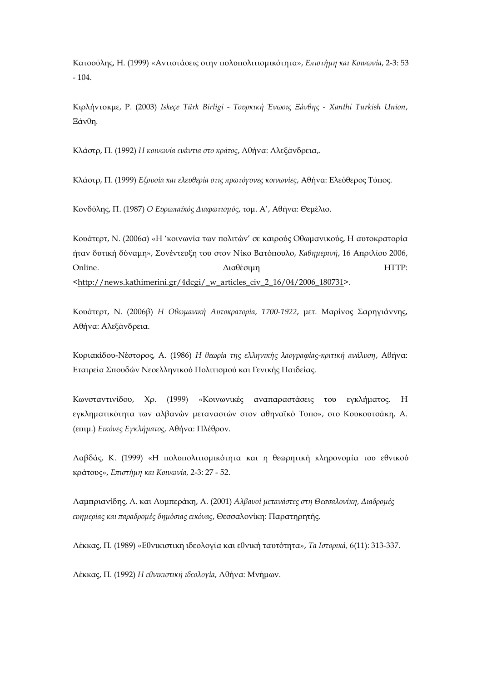Κατσούλης, H. (1999) «Aντιστάσεις στην πολυπολιτισµικότητα», *Eπιστήµη και Κοινωνία*, 2-3: 53 - 104.

Κιρλήντοκµε, Ρ. (2003) *Iskeçe Türk Birligi - Τουρκική Ένωσις Ξάνθης - Xanthi Turkish Union*, Ξάνθη.

Κλάστρ, Π. (1992) *Η κοινωνία ενάντια στο κράτος*, Αθήνα: Αλεξάνδρεια,.

Κλάστρ, Π. (1999) *Εξουσία και ελευθερία στις πρωτόγονες κοινωνίες*, Αθήνα: Ελεύθερος Τύπος.

Κονδύλης, Π. (1987) *Ο Ευρωπαϊκός Διαφωτισµός*, τοµ. Α', Αθήνα: Θεµέλιο.

Κουάτερτ, Ν. (2006α) «Η 'κοινωνία των πολιτών' σε καιρούς Οθωµανικούς, Η αυτοκρατορία ήταν δυτική δύναµη», Συνέντευξη του στον Νίκο Βατόπουλο, *Καθηµερινή*, 16 Aπριλίου 2006, Online. Διαθέσιμη Διαθέσιμη ΗΤΤΡ: <http://news.kathimerini.gr/4dcgi/\_w\_articles\_civ\_2\_16/04/2006\_180731>.

Κουάτερτ, Ν. (2006β) *Η Οθωµανική Αυτοκρατορία, 1700-1922*, µετ. Μαρίνος Σαρηγιάννης, Αθήνα: Αλεξάνδρεια.

Κυριακίδου-Νέστορος, Α. (1986) *Η θεωρία της ελληνικής λαογραφίας-κριτική ανάλυση*, Αθήνα: Εταιρεία Σπουδών Νεοελληνικού Πολιτισµού και Γενικής Παιδείας.

Κωνσταντινίδου, Χρ. (1999) «Κοινωνικές αναπαραστάσεις του εγκλήµατος. Η εγκληµατικότητα των αλβανών µεταναστών στον αθηναϊκό Τύπο», στο Κουκουτσάκη, Α. (επιµ.) *Εικόνες Εγκλήµατος,* Αθήνα: Πλέθρον.

Λαβδάς, Κ. (1999) «Η πολυπολιτισμικότητα και η θεωρητική κληρονομία του εθνικού κράτους», *Eπιστήµη και Κοινωνία,* 2-3: 27 - 52.

Λαµπριανίδης, Λ. και Λυµπεράκη, Α. (2001) *Αλβανοί µετανάστες στη Θεσσαλονίκη, Διαδροµές ευηµερίας και παραδροµές δηµόσιας εικόνας*, Θεσσαλονίκη: Παρατηρητής.

Λέκκας, Π. (1989) «Εθνικιστική ιδεολογία και εθνική ταυτότητα», *Τα Ιστορικά,* 6(11): 313-337.

Λέκκας, Π. (1992) *Η εθνικιστική ιδεολογία*, Αθήνα: Μνήµων.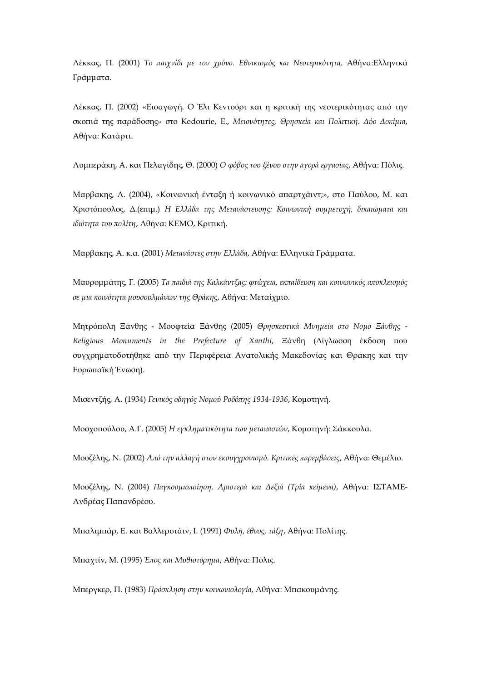Λέκκας, Π. (2001) *Το παιχνίδι µε τον χρόνο. Εθνικισµός και Νεοτερικότητα,* Αθήνα:Ελληνικά Γράµµατα.

Λέκκας, Π. (2002) «Εισαγωγή. Ο Έλι Κεντούρι και η κριτική της νεοτερικότητας από την σκοπιά της παράδοσης» στο Kedourie, Ε., *Μειονότητες, Θρησκεία και Πολιτική. Δύο Δοκίµια*, Αθήνα: Κατάρτι.

Λυµπεράκη, Α. και Πελαγίδης, Θ. (2000) *Ο φόβος του ξένου στην αγορά εργασίας*, Αθήνα: Πόλις.

Μαρβάκης, Α. (2004), «Κοινωνική ένταξη ή κοινωνικό απαρτχάιντ;», στο Παύλου, Μ. και Χριστόπουλος, Δ.(επιµ.) *Η Ελλάδα της Μετανάστευσης: Κοινωνική συµµετοχή, δικαιώµατα και ιδιότητα του πολίτη*, Αθήνα: ΚΕΜΟ, Κριτική.

Μαρβάκης, Α. κ.α. (2001) *Μετανάστες στην Ελλάδα*, Αθήνα: Ελληνικά Γράµµατα.

Μαυροµµάτης, Γ. (2005) *Tα παιδιά της Kαλκάντζας: φτώχεια, εκπαίδευση και κοινωνικός αποκλεισµός σε µια κοινότητα µουσουλµάνων της Θράκης*, Αθήνα: Mεταίχµιο.

Μητρόπολη Ξάνθης - Μουφτεία Ξάνθης (2005) *Θρησκευτικά Μνηµεία στο Νοµό Ξάνθης - Religious Monuments in the Prefecture of Xanthi*, Ξάνθη (Δίγλωσση έκδοση που συγχρηµατοδοτήθηκε από την Περιφέρεια Ανατολικής Μακεδονίας και Θράκης και την Ευρωπαϊκή Ένωση).

Μισεντζής, A. (1934) *Γενικός οδηγός Nοµού Pοδόπης 1934-1936*, Kοµοτηνή.

Μοσχοπούλου, Α.Γ. (2005) *Η εγκληµατικότητα των µεταναστών*, Κοµοτηνή: Σάκκουλα.

Μουζέλης, Ν. (2002) *Από την αλλαγή στον εκσυγχρονισµό. Κριτικές παρεµβάσεις*, Αθήνα: Θεµέλιο.

Μουζέλης, Ν. (2004) *Παγκοσµιοποίηση. Αριστερά και Δεξιά (Τρία κείµενα)*, Αθήνα: ΙΣΤΑΜΕ-Ανδρέας Παπανδρέου.

Μπαλιµπάρ, Ε. και Βαλλερστάιν, Ι. (1991) *Φυλή, έθνος, τάξη*, Αθήνα: Πολίτης.

Μπαχτίν, Μ. (1995) *Έπος και Μυθιστόρηµα*, Αθήνα: Πόλις.

Μπέργκερ, Π. (1983) *Πρόσκληση στην κοινωνιολογία*, Αθήνα: Μπακουµάνης.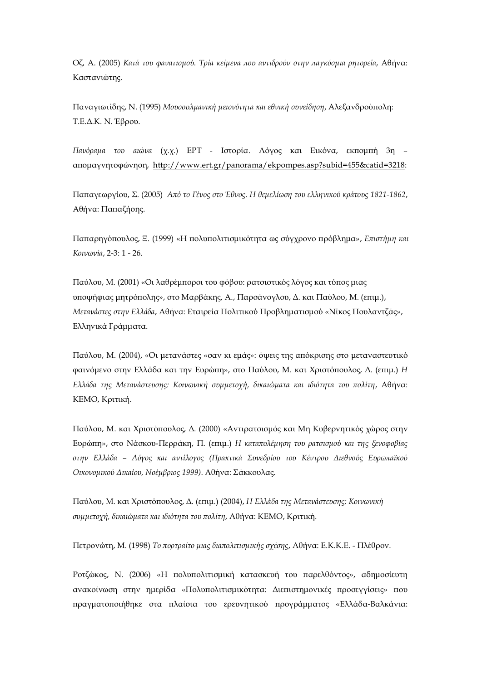Οζ, Α. (2005) *Κατά του φανατισµού. Τρία κείµενα που αντιδρούν στην παγκόσµια ρητορεία*, Αθήνα: Καστανιώτης.

Παναγιωτίδης, N. (1995) *Mουσουλµανική µειονότητα και εθνική συνείδηση*, Aλεξανδρούπολη: T.E.Δ.K. N. Έβρου.

*Πανόραµα του αιώνα* (χ.χ.) ΕΡΤ - Ιστορία. Λόγος και Εικόνα, εκποµπή 3η – αποµαγνητοφώνηση, http://www.ert.gr/panorama/ekpompes.asp?subid=455&catid=3218:

Παπαγεωργίου, Σ. (2005) *Από το Γένος στο Έθνος. Η θεµελίωση του ελληνικού κράτους 1821-1862*, Αθήνα: Παπαζήσης.

Παπαρηγόπουλος, Ξ. (1999) «Η πολυπολιτισµικότητα ως σύγχρονο πρόβληµα», *Eπιστήµη και Κοινωνία*, 2-3: 1 - 26.

Παύλου, Μ. (2001) «Οι λαθρέµποροι του φόβου: ρατσιστικός λόγος και τύπος µιας υποψήφιας µητρόπολης», στο Μαρβάκης, Α., Παρσάνογλου, Δ. και Παύλου, Μ. (επιµ.), *Μετανάστες στην Ελλάδα*, Αθήνα: Εταιρεία Πολιτικού Προβληµατισµού «Νίκος Πουλαντζάς», Ελληνικά Γράµµατα.

Παύλου, Μ. (2004), «Οι µετανάστες «σαν κι εµάς»: όψεις της απόκρισης στο µεταναστευτικό φαινόµενο στην Ελλάδα και την Ευρώπη», στο Παύλου, Μ. και Χριστόπουλος, Δ. (επιµ.) *Η Ελλάδα της Μετανάστευσης: Κοινωνική συµµετοχή, δικαιώµατα και ιδιότητα του πολίτη*, Αθήνα: ΚΕΜΟ, Κριτική.

Παύλου, Μ. και Χριστόπουλος, Δ. (2000) «Αντιρατσισµός και Μη Κυβερνητικός χώρος στην Ευρώπη», στο Νάσκου-Περράκη, Π. (επιµ.) *Η καταπολέµηση του ρατσισµού και της ξενοφοβίας στην Ελλάδα – Λόγος και αντίλογος (Πρακτικά Συνεδρίου του Κέντρου Διεθνούς Ευρωπαϊκού Οικονοµικού Δικαίου, Νοέµβριος 1999)*. Αθήνα: Σάκκουλας.

Παύλου, Μ. και Χριστόπουλος, Δ. (επιµ.) (2004), *Η Ελλάδα της Μετανάστευσης: Κοινωνική συµµετοχή, δικαιώµατα και ιδιότητα του πολίτη*, Αθήνα: ΚΕΜΟ, Κριτική.

Πετρονώτη, Μ. (1998) *Το πορτραίτο µιας διαπολιτισµικής σχέσης*, Αθήνα: Ε.Κ.Κ.Ε. - Πλέθρον.

Ροτζώκος, Ν. (2006) «Η πολυπολιτισµική κατασκευή του παρελθόντος», αδηµοσίευτη ανακοίνωση στην ηµερίδα «Πολυπολιτισµικότητα: Διεπιστηµονικές προσεγγίσεις» που πραγµατοποιήθηκε στα πλαίσια του ερευνητικού προγράµµατος «Ελλάδα-Βαλκάνια: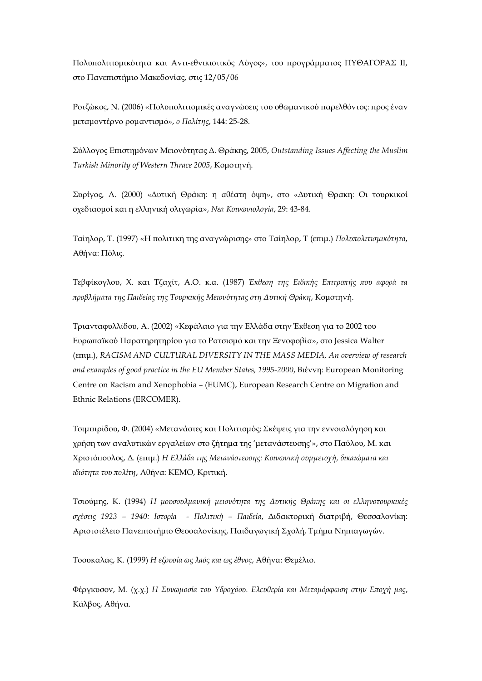Πολυπολιτισµικότητα και Αντι-εθνικιστικός Λόγος», του προγράµµατος ΠΥΘΑΓΟΡΑΣ ΙΙ, στο Πανεπιστήµιο Μακεδονίας, στις 12/05/06

Ροτζώκος, Ν. (2006) «Πολυπολιτισµικές αναγνώσεις του οθωµανικού παρελθόντος: προς έναν µεταµοντέρνο ροµαντισµό», *ο Πολίτης*, 144: 25-28.

Σύλλογος Επιστηµόνων Μειονότητας Δ. Θράκης, 2005, *Outstanding Issues Affecting the Muslim Turkish Minority of Western Thrace 2005*, Κοµοτηνή.

Συρίγος, A. (2000) «Δυτική Θράκη: η αθέατη όψη», στο «Δυτική Θράκη: Οι τουρκικοί σχεδιασµοί και η ελληνική ολιγωρία», *Nεα Kοινωνιολογία*, 29: 43-84.

Ταίηλορ, Τ. (1997) «Η πολιτική της αναγνώρισης» στο Ταίηλορ, Τ (επιµ.) *Πολυπολιτισµικότητα*, Αθήνα: Πόλις.

Τεβφίκογλου, Χ. και Τζαχίτ, Α.Ο. κ.α. (1987) *Έκθεση της Ειδικής Επιτροπής που αφορά τα προβλήµατα της Παιδείας της Τουρκικής Μειονότητας στη Δυτική Θράκη*, Κοµοτηνή.

Τριανταφυλλίδου, Α. (2002) «Κεφάλαιο για την Ελλάδα στην Έκθεση για το 2002 του Ευρωπαϊκού Παρατηρητηρίου για το Ρατσισµό και την Ξενοφοβία», στο Jessica Walter (επιµ.), *RACISM AND CULTURAL DIVERSITY IN THE MASS MEDIA, An overview of research and examples of good practice in the EU Member States, 1995-2000*, Βιέννη: European Monitoring Centre on Racism and Xenophobia – (EUMC), European Research Centre on Migration and Ethnic Relations (ERCOMER).

Τσιµπιρίδου, Φ. (2004) «Μετανάστες και Πολιτισµός; Σκέψεις για την εννοιολόγηση και χρήση των αναλυτικών εργαλείων στο ζήτηµα της 'µετανάστευσης'», στο Παύλου, Μ. και Χριστόπουλος, Δ. (επιµ.) *Η Ελλάδα της Μετανάστευσης: Κοινωνική συµµετοχή, δικαιώµατα και ιδιότητα του πολίτη*, Αθήνα: ΚΕΜΟ, Κριτική.

Τσιούµης, K. (1994) *H µουσουλµανική µειονότητα της Δυτικής Θράκης και οι ελληνοτουρκικές σχέσεις 1923 – 1940: Iστορία - Πολιτική – Παιδεία*, Διδακτορική διατριβή, Θεσσαλονίκη: Aριστοτέλειο Πανεπιστήµιο Θεσσαλονίκης, Παιδαγωγική Σχολή, Tµήµα Nηπιαγωγών.

Τσουκαλάς, Κ. (1999) *Η εξουσία ως λαός και ως έθνος*, Αθήνα: Θεµέλιο.

Φέργκυσον, Μ. (χ.χ.) *Η Συνωµοσία του Υδροχόου. Ελευθερία και Μεταµόρφωση στην Εποχή µας*, Κάλβος, Αθήνα.